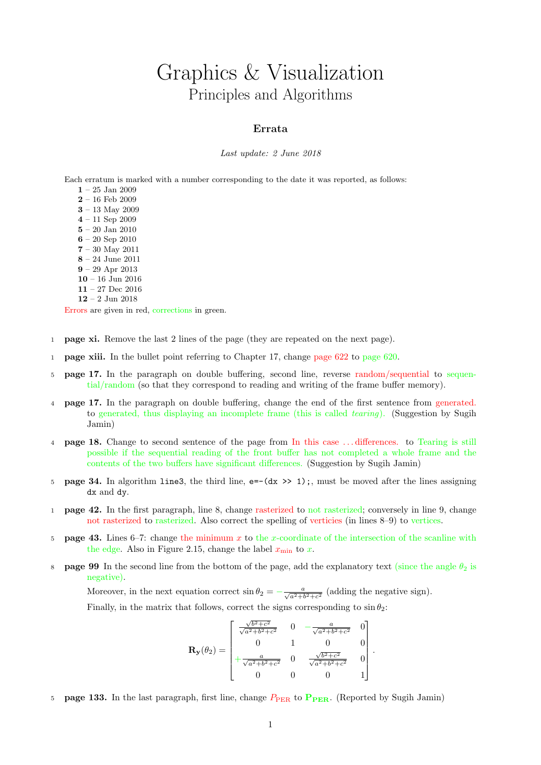## Graphics & Visualization Principles and Algorithms

## Errata

## Last update: 2 June 2018

Each erratum is marked with a number corresponding to the date it was reported, as follows:

- $1 25$  Jan 2009  $2 - 16$  Feb 2009 3 – 13 May 2009 4 – 11 Sep 2009  $\mathbf{5}$  –  $20$  Jan  $2010$ 6 – 20 Sep 2010 7 – 30 May 2011 8 – 24 June 2011 9 – 29 Apr 2013  $10 - 16$  Jun 2016
- 11 27 Dec 2016
- 12 2 Jun 2018

Errors are given in red, corrections in green.

- 1 page xi. Remove the last 2 lines of the page (they are repeated on the next page).
- 1 page xiii. In the bullet point referring to Chapter 17, change page 622 to page 620.
- 5 page 17. In the paragraph on double buffering, second line, reverse random/sequential to sequential/random (so that they correspond to reading and writing of the frame buffer memory).
- 4 page 17. In the paragraph on double buffering, change the end of the first sentence from generated. to generated, thus displaying an incomplete frame (this is called *tearing*). (Suggestion by Sugih Jamin)
- 4 page 18. Change to second sentence of the page from In this case . . . differences. to Tearing is still possible if the sequential reading of the front buffer has not completed a whole frame and the contents of the two buffers have significant differences. (Suggestion by Sugih Jamin)
- 5 **page 34.** In algorithm line3, the third line,  $e = -(dx \gg 1)$ ;, must be moved after the lines assigning dx and dy.
- 1 page 42. In the first paragraph, line 8, change rasterized to not rasterized; conversely in line 9, change not rasterized to rasterized. Also correct the spelling of verticies (in lines 8–9) to vertices.
- 5 **page 43.** Lines 6–7: change the minimum x to the x-coordinate of the intersection of the scanline with the edge. Also in Figure 2.15, change the label  $x_{\min}$  to x.
- 8 **page 99** In the second line from the bottom of the page, add the explanatory text (since the angle  $\theta_2$  is negative).

Moreover, in the next equation correct  $\sin \theta_2 = -\frac{a}{\sqrt{a^2+b^2+c^2}}$  (adding the negative sign).

Finally, in the matrix that follows, correct the signs corresponding to  $\sin \theta_2$ :

$$
\mathbf{R}_{\mathbf{y}}(\theta_2) = \begin{bmatrix} \frac{\sqrt{b^2 + c^2}}{\sqrt{a^2 + b^2 + c^2}} & 0 & -\frac{a}{\sqrt{a^2 + b^2 + c^2}} & 0\\ 0 & 1 & 0 & 0\\ +\frac{a}{\sqrt{a^2 + b^2 + c^2}} & 0 & \frac{\sqrt{b^2 + c^2}}{\sqrt{a^2 + b^2 + c^2}} & 0\\ 0 & 0 & 0 & 1 \end{bmatrix}
$$

.

**page 133.** In the last paragraph, first line, change  $P_{PER}$  to  $P_{PER}$ . (Reported by Sugih Jamin)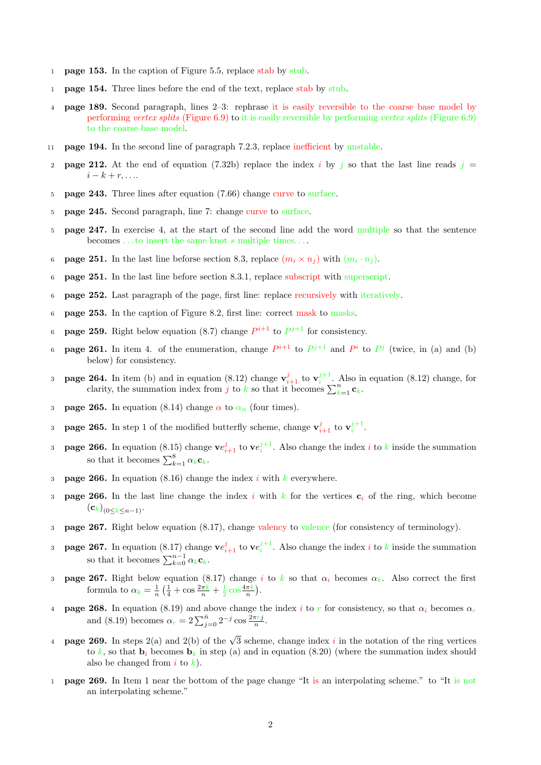- 1 **page 153.** In the caption of Figure 5.5, replace stab by stub.
- 1 page 154. Three lines before the end of the text, replace stab by stub.
- 4 page 189. Second paragraph, lines 2–3: rephrase it is easily reversible to the coarse base model by performing vertex splits (Figure 6.9) to it is easily reversible by performing vertex splits (Figure 6.9) to the coarse base model.
- 11 page 194. In the second line of paragraph 7.2.3, replace inefficient by unstable.
- 2 **page 212.** At the end of equation (7.32b) replace the index i by j so that the last line reads  $j =$  $i-k+r,\ldots$
- 5 page 243. Three lines after equation (7.66) change curve to surface.
- 5 page 245. Second paragraph, line 7: change curve to surface.
- 5 page 247. In exercise 4, at the start of the second line add the word multiple so that the sentence becomes . . . to insert the same knot s multiple times. . . .
- 6 **page 251.** In the last line beforse section 8.3, replace  $(m_i \times n_j)$  with  $(m_i \cdot n_j)$ .
- 6 page 251. In the last line before section 8.3.1, replace subscript with superscript.
- 6 page 252. Last paragraph of the page, first line: replace recursively with iteratively.
- 6 page 253. In the caption of Figure 8.2, first line: correct mask to masks.
- 6 **page 259.** Right below equation (8.7) change  $P^{i+1}$  to  $P^{j+1}$  for consistency.
- 6 **page 261.** In item 4. of the enumeration, change  $P^{i+1}$  to  $P^{j+1}$  and  $P^i$  to  $P^j$  (twice, in (a) and (b) below) for consistency.
- 3 **page 264.** In item (b) and in equation (8.12) change  $\mathbf{v}_{i+1}^j$  to  $\mathbf{v}_i^{j+1}$ . Also in equation (8.12) change, for clarity, the summation index from j to k so that it becomes  $\sum_{k=1}^{n} c_k$ .
- 3 **page 265.** In equation (8.14) change  $\alpha$  to  $\alpha_n$  (four times).
- 3 **page 265.** In step 1 of the modified butterfly scheme, change  $\mathbf{v}_{i+1}^j$  to  $\mathbf{v}_i^{j+1}$ .
- 3 **page 266.** In equation (8.15) change  $ve_{i+1}^j$  to  $ve_i^{j+1}$ . Also change the index i to k inside the summation so that it becomes  $\sum_{k=1}^{8} \alpha_k \mathbf{c}_k$ .
- 3 **page 266.** In equation (8.16) change the index i with k everywhere.
- 3 **page 266.** In the last line change the index i with k for the vertices  $c_i$  of the ring, which become  $\left(\mathbf{c}_k\right)_{(0\leq k\leq n-1)}.$
- 3 page 267. Right below equation (8.17), change valency to valence (for consistency of terminology).
- 3 **page 267.** In equation (8.17) change  $ve_{i+1}^j$  to  $ve_i^{j+1}$ . Also change the index i to k inside the summation so that it becomes  $\sum_{k=0}^{n-1} \alpha_k \mathbf{c}_k$ .
- 3 **page 267.** Right below equation (8.17) change i to k so that  $\alpha_i$  becomes  $\alpha_k$ . Also correct the first formula to  $\alpha_k = \frac{1}{n} \left( \frac{1}{4} + \cos \frac{2\pi k}{n} + \frac{1}{2} \cos \frac{4\pi k}{n} \right)$ .
- 4 **page 268.** In equation (8.19) and above change the index i to r for consistency, so that  $\alpha_i$  becomes  $\alpha_r$ and (8.19) becomes  $\alpha_r = 2 \sum_{j=0}^{\bar{n}} 2^{-j} \cos \frac{2\pi r j}{n}$ .
- **4 page 269.** In steps 2(a) and 2(b) of the  $\sqrt{3}$  scheme, change index i in the notation of the ring vertices to k, so that  $\mathbf{b}_i$  becomes  $\mathbf{b}_k$  in step (a) and in equation (8.20) (where the summation index should also be changed from  $i$  to  $k$ ).
- <sup>1</sup> page 269. In Item 1 near the bottom of the page change "It is an interpolating scheme." to "It is not an interpolating scheme."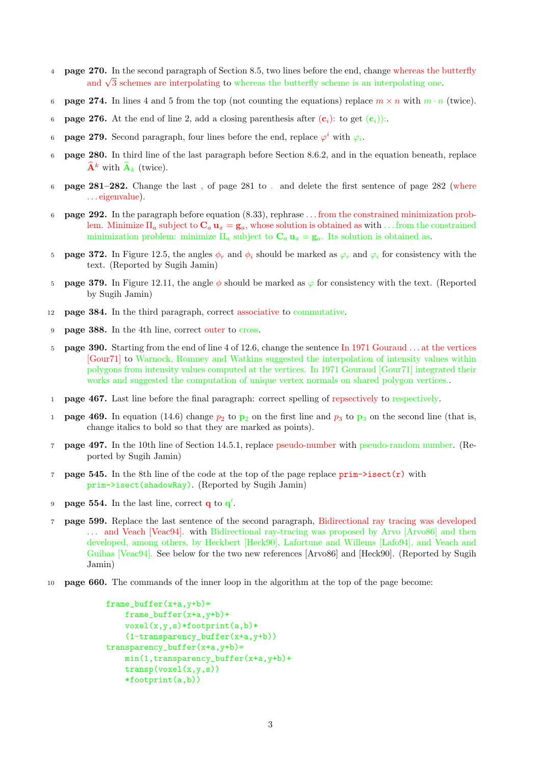- 4 page 270. In the second paragraph of Section 8.5, two lines before the end, change whereas the butterfly and  $\sqrt{3}$  schemes are interpolating to whereas the butterfly scheme is an interpolating one.
- 6 **page 274.** In lines 4 and 5 from the top (not counting the equations) replace  $m \times n$  with  $m \cdot n$  (twice).
- 6 **page 276.** At the end of line 2, add a closing parenthesis after  $(c_i)$ : to get  $(c_i)$ :
- 6 **page 279.** Second paragraph, four lines before the end, replace  $\varphi^i$  with  $\varphi_i$ .
- 6 page 280. In third line of the last paragraph before Section 8.6.2, and in the equation beneath, replace  $\widehat{\mathbf{A}}^k$  with  $\widehat{\mathbf{A}}_k$  (twice).
- 6 page 281–282. Change the last , of page 281 to . and delete the first sentence of page 282 (where . . . eigenvalue).
- 6 page 292. In the paragraph before equation (8.33), rephrase . . . from the constrained minimization problem. Minimize  $\Pi_a$  subject to  $\mathbf{C}_a \mathbf{u}_x = \mathbf{g}_a$ , whose solution is obtained as with ... from the constrained minimization problem: minimize  $\Pi_a$  subject to  $\mathbf{C}_a \mathbf{u}_x = \mathbf{g}_a$ . Its solution is obtained as.
- 5 **page 372.** In Figure 12.5, the angles  $\phi_r$  and  $\phi_i$  should be marked as  $\varphi_r$  and  $\varphi_i$  for consistency with the text. (Reported by Sugih Jamin)
- 5 **page 379.** In Figure 12.11, the angle  $\phi$  should be marked as  $\varphi$  for consistency with the text. (Reported by Sugih Jamin)
- 12 page 384. In the third paragraph, correct associative to commutative.
- 9 page 388. In the 4th line, correct outer to cross.
- 5 page 390. Starting from the end of line 4 of 12.6, change the sentence In 1971 Gouraud . . . at the vertices [Gour71] to Warnock, Romney and Watkins suggested the interpolation of intensity values within polygons from intensity values computed at the vertices. In 1971 Gouraud [Gour71] integrated their works and suggested the computation of unique vertex normals on shared polygon vertices..
- 1 page 467. Last line before the final paragraph: correct spelling of repsectively to respectively.
- 1 **page 469.** In equation (14.6) change  $p_2$  to  $p_2$  on the first line and  $p_3$  to  $p_3$  on the second line (that is, change italics to bold so that they are marked as points).
- 7 page 497. In the 10th line of Section 14.5.1, replace pseudo-number with pseudo-random number. (Reported by Sugih Jamin)
- 7 **page 545.** In the 8th line of the code at the top of the page replace  $\text{prim}-\text{isect}(r)$  with prim->isect(shadowRay). (Reported by Sugih Jamin)
- 9 page 554. In the last line, correct  $\mathbf{q}$  to  $\mathbf{q}'$ .
- 7 page 599. Replace the last sentence of the second paragraph, Bidirectional ray tracing was developed . . . and Veach [Veac94]. with Bidirectional ray-tracing was proposed by Arvo [Arvo86] and then developed, among others, by Heckbert [Heck90], Lafortune and Willems [Lafo94], and Veach and Guibas [Veac94]. See below for the two new references [Arvo86] and [Heck90]. (Reported by Sugih Jamin)
- <sup>10</sup> page 660. The commands of the inner loop in the algorithm at the top of the page become:

```
frame\_buffer(x+a,y+b)=frame_buffer(x+a,y+b)+
   voxel(x,y,s)*footprint(a,b)*
    (1-transparency_buffer(x+a,y+b))
transport_1 = \frac{1}{2}min(1,transparency_buffer(x+a,y+b)+
   transp(voxel(x,y,s))
    *footprint(a,b))
```